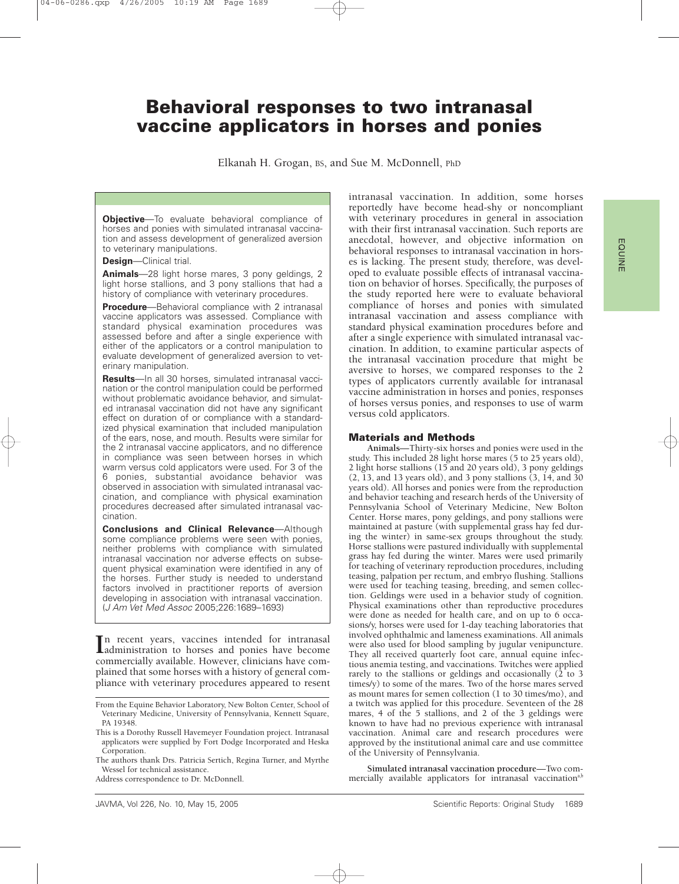# **Behavioral responses to two intranasal vaccine applicators in horses and ponies**

Elkanah H. Grogan, BS, and Sue M. McDonnell, PhD

**Objective**—To evaluate behavioral compliance of horses and ponies with simulated intranasal vaccination and assess development of generalized aversion to veterinary manipulations.

**Design**—Clinical trial.

**Animals**—28 light horse mares, 3 pony geldings, 2 light horse stallions, and 3 pony stallions that had a history of compliance with veterinary procedures.

**Procedure**—Behavioral compliance with 2 intranasal vaccine applicators was assessed. Compliance with standard physical examination procedures was assessed before and after a single experience with either of the applicators or a control manipulation to evaluate development of generalized aversion to veterinary manipulation.

**Results**—In all 30 horses, simulated intranasal vaccination or the control manipulation could be performed without problematic avoidance behavior, and simulated intranasal vaccination did not have any significant effect on duration of or compliance with a standardized physical examination that included manipulation of the ears, nose, and mouth. Results were similar for the 2 intranasal vaccine applicators, and no difference in compliance was seen between horses in which warm versus cold applicators were used. For 3 of the 6 ponies, substantial avoidance behavior was observed in association with simulated intranasal vaccination, and compliance with physical examination procedures decreased after simulated intranasal vaccination.

**Conclusions and Clinical Relevance**—Although some compliance problems were seen with ponies, neither problems with compliance with simulated intranasal vaccination nor adverse effects on subsequent physical examination were identified in any of the horses. Further study is needed to understand factors involved in practitioner reports of aversion developing in association with intranasal vaccination. (J Am Vet Med Assoc 2005;226:1689–1693)

In recent years, vaccines intended for intranasal<br>
administration to horses and ponies have become<br>
commonsially available Houseum eliminisms have comadministration to horses and ponies have become commercially available. However, clinicians have complained that some horses with a history of general compliance with veterinary procedures appeared to resent

Address correspondence to Dr. McDonnell.

intranasal vaccination. In addition, some horses reportedly have become head-shy or noncompliant with veterinary procedures in general in association with their first intranasal vaccination. Such reports are anecdotal, however, and objective information on behavioral responses to intranasal vaccination in horses is lacking. The present study, therefore, was developed to evaluate possible effects of intranasal vaccination on behavior of horses. Specifically, the purposes of the study reported here were to evaluate behavioral compliance of horses and ponies with simulated intranasal vaccination and assess compliance with standard physical examination procedures before and after a single experience with simulated intranasal vaccination. In addition, to examine particular aspects of the intranasal vaccination procedure that might be aversive to horses, we compared responses to the 2 types of applicators currently available for intranasal vaccine administration in horses and ponies, responses of horses versus ponies, and responses to use of warm versus cold applicators.

## **Materials and Methods**

**Animals**—Thirty-six horses and ponies were used in the study. This included 28 light horse mares (5 to 25 years old), 2 light horse stallions (15 and 20 years old), 3 pony geldings  $(2, 13, 13)$  years old), and 3 pony stallions  $(3, 14, 13)$ years old). All horses and ponies were from the reproduction and behavior teaching and research herds of the University of Pennsylvania School of Veterinary Medicine, New Bolton Center. Horse mares, pony geldings, and pony stallions were maintained at pasture (with supplemental grass hay fed during the winter) in same-sex groups throughout the study. Horse stallions were pastured individually with supplemental grass hay fed during the winter. Mares were used primarily for teaching of veterinary reproduction procedures, including teasing, palpation per rectum, and embryo flushing. Stallions were used for teaching teasing, breeding, and semen collection. Geldings were used in a behavior study of cognition. Physical examinations other than reproductive procedures were done as needed for health care, and on up to 6 occasions/y, horses were used for 1-day teaching laboratories that involved ophthalmic and lameness examinations. All animals were also used for blood sampling by jugular venipuncture. They all received quarterly foot care, annual equine infectious anemia testing, and vaccinations. Twitches were applied rarely to the stallions or geldings and occasionally  $(2 \text{ to } 3)$ times/y) to some of the mares. Two of the horse mares served as mount mares for semen collection (1 to 30 times/mo), and a twitch was applied for this procedure. Seventeen of the 28 mares, 4 of the 5 stallions, and 2 of the 3 geldings were known to have had no previous experience with intranasal vaccination. Animal care and research procedures were approved by the institutional animal care and use committee of the University of Pennsylvania.

**Simulated intranasal vaccination procedure**—Two commercially available applicators for intranasal vaccination<sup>a,b</sup>

From the Equine Behavior Laboratory, New Bolton Center, School of Veterinary Medicine, University of Pennsylvania, Kennett Square, PA 19348.

This is a Dorothy Russell Havemeyer Foundation project. Intranasal applicators were supplied by Fort Dodge Incorporated and Heska Corporation.

The authors thank Drs. Patricia Sertich, Regina Turner, and Myrthe Wessel for technical assistance.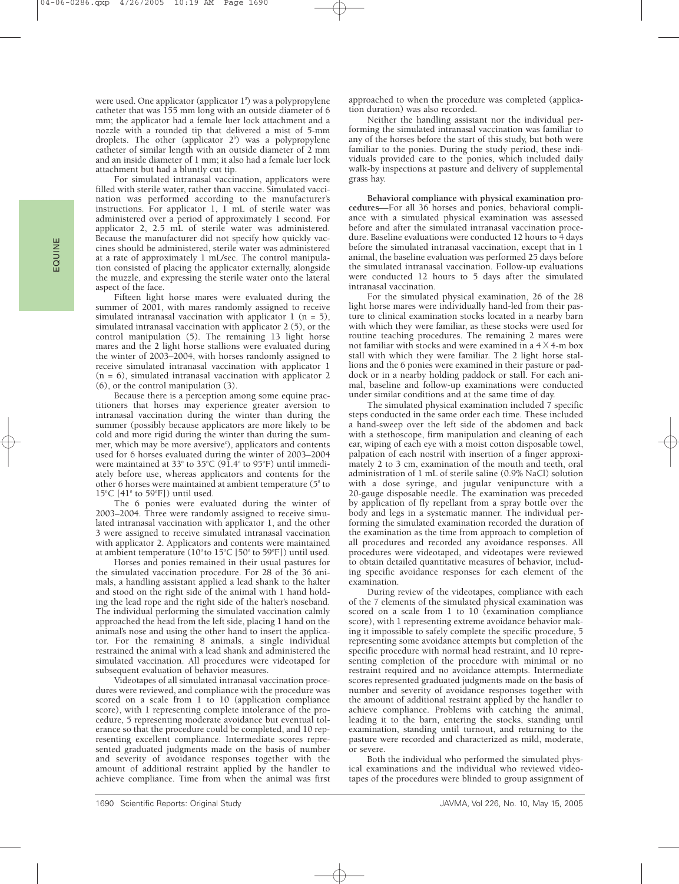were used. One applicator (applicator 1ª) was a polypropylene catheter that was 155 mm long with an outside diameter of 6 mm; the applicator had a female luer lock attachment and a nozzle with a rounded tip that delivered a mist of 5-mm droplets. The other (applicator  $2^b$ ) was a polypropylene catheter of similar length with an outside diameter of 2 mm and an inside diameter of 1 mm; it also had a female luer lock attachment but had a bluntly cut tip.

For simulated intranasal vaccination, applicators were filled with sterile water, rather than vaccine. Simulated vaccination was performed according to the manufacturer's instructions. For applicator 1, 1 mL of sterile water was administered over a period of approximately 1 second. For applicator 2, 2.5 mL of sterile water was administered. Because the manufacturer did not specify how quickly vaccines should be administered, sterile water was administered at a rate of approximately 1 mL/sec. The control manipulation consisted of placing the applicator externally, alongside the muzzle, and expressing the sterile water onto the lateral aspect of the face.

Fifteen light horse mares were evaluated during the summer of 2001, with mares randomly assigned to receive simulated intranasal vaccination with applicator  $1$  (n = 5), simulated intranasal vaccination with applicator 2 (5), or the control manipulation (5). The remaining 13 light horse mares and the 2 light horse stallions were evaluated during the winter of 2003–2004, with horses randomly assigned to receive simulated intranasal vaccination with applicator 1  $(n = 6)$ , simulated intranasal vaccination with applicator 2 (6), or the control manipulation (3).

Because there is a perception among some equine practitioners that horses may experience greater aversion to intranasal vaccination during the winter than during the summer (possibly because applicators are more likely to be cold and more rigid during the winter than during the summer, which may be more aversive<sup>c</sup>), applicators and contents used for 6 horses evaluated during the winter of 2003–2004 were maintained at  $33^{\circ}$  to  $35^{\circ}$ C (91.4 $^{\circ}$  to 95 $^{\circ}$ F) until immediately before use, whereas applicators and contents for the other 6 horses were maintained at ambient temperature  $(5^{\circ}$  to  $15^{\circ}$ C [41 $^{\circ}$  to 59 $^{\circ}$ F]) until used.

The 6 ponies were evaluated during the winter of 2003–2004. Three were randomly assigned to receive simulated intranasal vaccination with applicator 1, and the other 3 were assigned to receive simulated intranasal vaccination with applicator 2. Applicators and contents were maintained at ambient temperature (10° to 15°C [50° to 59°F]) until used.

Horses and ponies remained in their usual pastures for the simulated vaccination procedure. For 28 of the 36 animals, a handling assistant applied a lead shank to the halter and stood on the right side of the animal with 1 hand holding the lead rope and the right side of the halter's noseband. The individual performing the simulated vaccination calmly approached the head from the left side, placing 1 hand on the animal's nose and using the other hand to insert the applicator. For the remaining 8 animals, a single individual restrained the animal with a lead shank and administered the simulated vaccination. All procedures were videotaped for subsequent evaluation of behavior measures.

Videotapes of all simulated intranasal vaccination procedures were reviewed, and compliance with the procedure was scored on a scale from 1 to 10 (application compliance score), with 1 representing complete intolerance of the procedure, 5 representing moderate avoidance but eventual tolerance so that the procedure could be completed, and 10 representing excellent compliance. Intermediate scores represented graduated judgments made on the basis of number and severity of avoidance responses together with the amount of additional restraint applied by the handler to achieve compliance. Time from when the animal was first

approached to when the procedure was completed (application duration) was also recorded.

Neither the handling assistant nor the individual performing the simulated intranasal vaccination was familiar to any of the horses before the start of this study, but both were familiar to the ponies. During the study period, these individuals provided care to the ponies, which included daily walk-by inspections at pasture and delivery of supplemental grass hay.

**Behavioral compliance with physical examination procedures**—For all 36 horses and ponies, behavioral compliance with a simulated physical examination was assessed before and after the simulated intranasal vaccination procedure. Baseline evaluations were conducted 12 hours to 4 days before the simulated intranasal vaccination, except that in 1 animal, the baseline evaluation was performed 25 days before the simulated intranasal vaccination. Follow-up evaluations were conducted 12 hours to 5 days after the simulated intranasal vaccination.

For the simulated physical examination, 26 of the 28 light horse mares were individually hand-led from their pasture to clinical examination stocks located in a nearby barn with which they were familiar, as these stocks were used for routine teaching procedures. The remaining 2 mares were not familiar with stocks and were examined in a  $4 \times 4$ -m box stall with which they were familiar. The 2 light horse stallions and the 6 ponies were examined in their pasture or paddock or in a nearby holding paddock or stall. For each animal, baseline and follow-up examinations were conducted under similar conditions and at the same time of day.

The simulated physical examination included  $\overline{7}$  specific steps conducted in the same order each time. These included a hand-sweep over the left side of the abdomen and back with a stethoscope, firm manipulation and cleaning of each ear, wiping of each eye with a moist cotton disposable towel, palpation of each nostril with insertion of a finger approximately 2 to 3 cm, examination of the mouth and teeth, oral administration of 1 mL of sterile saline (0.9% NaCl) solution with a dose syringe, and jugular venipuncture with a 20-gauge disposable needle. The examination was preceded by application of fly repellant from a spray bottle over the body and legs in a systematic manner. The individual performing the simulated examination recorded the duration of the examination as the time from approach to completion of all procedures and recorded any avoidance responses. All procedures were videotaped, and videotapes were reviewed to obtain detailed quantitative measures of behavior, including specific avoidance responses for each element of the examination.

During review of the videotapes, compliance with each of the 7 elements of the simulated physical examination was scored on a scale from 1 to 10 (examination compliance score), with 1 representing extreme avoidance behavior making it impossible to safely complete the specific procedure, 5 representing some avoidance attempts but completion of the specific procedure with normal head restraint, and 10 representing completion of the procedure with minimal or no restraint required and no avoidance attempts. Intermediate scores represented graduated judgments made on the basis of number and severity of avoidance responses together with the amount of additional restraint applied by the handler to achieve compliance. Problems with catching the animal, leading it to the barn, entering the stocks, standing until examination, standing until turnout, and returning to the pasture were recorded and characterized as mild, moderate, or severe.

Both the individual who performed the simulated physical examinations and the individual who reviewed videotapes of the procedures were blinded to group assignment of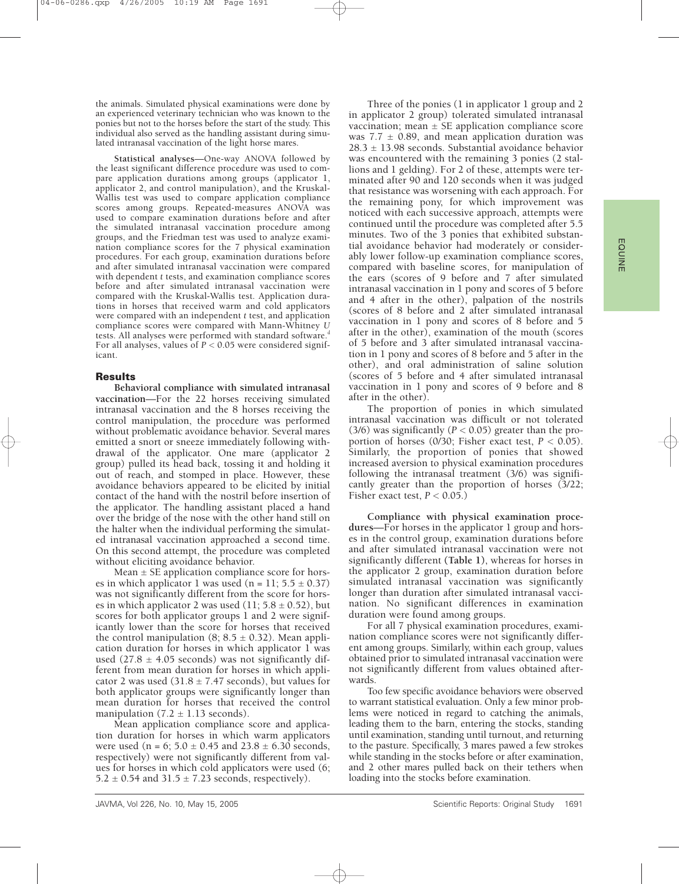the animals. Simulated physical examinations were done by an experienced veterinary technician who was known to the ponies but not to the horses before the start of the study. This individual also served as the handling assistant during simulated intranasal vaccination of the light horse mares.

**Statistical analyses**—One-way ANOVA followed by the least significant difference procedure was used to compare application durations among groups (applicator 1, applicator 2, and control manipulation), and the Kruskal-Wallis test was used to compare application compliance scores among groups. Repeated-measures ANOVA was used to compare examination durations before and after the simulated intranasal vaccination procedure among groups, and the Friedman test was used to analyze examination compliance scores for the 7 physical examination procedures. For each group, examination durations before and after simulated intranasal vaccination were compared with dependent *t* tests, and examination compliance scores before and after simulated intranasal vaccination were compared with the Kruskal-Wallis test. Application durations in horses that received warm and cold applicators were compared with an independent *t* test, and application compliance scores were compared with Mann-Whitney *U* tests. All analyses were performed with standard software.<sup>d</sup> For all analyses, values of *P* < 0.05 were considered significant.

### **Results**

**Behavioral compliance with simulated intranasal vaccination**—For the 22 horses receiving simulated intranasal vaccination and the 8 horses receiving the control manipulation, the procedure was performed without problematic avoidance behavior. Several mares emitted a snort or sneeze immediately following withdrawal of the applicator. One mare (applicator 2 group) pulled its head back, tossing it and holding it out of reach, and stomped in place. However, these avoidance behaviors appeared to be elicited by initial contact of the hand with the nostril before insertion of the applicator. The handling assistant placed a hand over the bridge of the nose with the other hand still on the halter when the individual performing the simulated intranasal vaccination approached a second time. On this second attempt, the procedure was completed without eliciting avoidance behavior.

Mean  $\pm$  SE application compliance score for horses in which applicator 1 was used (n = 11;  $5.5 \pm 0.37$ ) was not significantly different from the score for horses in which applicator 2 was used  $(11; 5.8 \pm 0.52)$ , but scores for both applicator groups 1 and 2 were significantly lower than the score for horses that received the control manipulation  $(8; 8.5 \pm 0.32)$ . Mean application duration for horses in which applicator 1 was used (27.8  $\pm$  4.05 seconds) was not significantly different from mean duration for horses in which applicator 2 was used  $(31.8 \pm 7.47$  seconds), but values for both applicator groups were significantly longer than mean duration for horses that received the control manipulation  $(7.2 \pm 1.13$  seconds).

Mean application compliance score and application duration for horses in which warm applicators were used (n = 6;  $5.0 \pm 0.45$  and  $23.8 \pm 6.30$  seconds, respectively) were not significantly different from values for horses in which cold applicators were used (6;  $5.2 \pm 0.54$  and  $31.5 \pm 7.23$  seconds, respectively).

Three of the ponies (1 in applicator 1 group and 2 in applicator 2 group) tolerated simulated intranasal vaccination; mean  $\pm$  SE application compliance score was  $7.7 \pm 0.89$ , and mean application duration was  $28.3 \pm 13.98$  seconds. Substantial avoidance behavior was encountered with the remaining 3 ponies (2 stallions and 1 gelding). For 2 of these, attempts were terminated after 90 and 120 seconds when it was judged that resistance was worsening with each approach. For the remaining pony, for which improvement was noticed with each successive approach, attempts were continued until the procedure was completed after 5.5 minutes. Two of the 3 ponies that exhibited substantial avoidance behavior had moderately or considerably lower follow-up examination compliance scores, compared with baseline scores, for manipulation of the ears (scores of 9 before and 7 after simulated intranasal vaccination in 1 pony and scores of 5 before and 4 after in the other), palpation of the nostrils (scores of 8 before and 2 after simulated intranasal vaccination in 1 pony and scores of 8 before and 5 after in the other), examination of the mouth (scores of 5 before and 3 after simulated intranasal vaccination in 1 pony and scores of 8 before and 5 after in the other), and oral administration of saline solution (scores of 5 before and 4 after simulated intranasal vaccination in 1 pony and scores of 9 before and 8 after in the other).

The proportion of ponies in which simulated intranasal vaccination was difficult or not tolerated (3/6) was significantly ( $P < 0.05$ ) greater than the proportion of horses ( $0/30$ ; Fisher exact test,  $P < 0.05$ ). Similarly, the proportion of ponies that showed increased aversion to physical examination procedures following the intranasal treatment (3/6) was significantly greater than the proportion of horses (3/22; Fisher exact test,  $P < 0.05$ .)

**Compliance with physical examination procedures**—For horses in the applicator 1 group and horses in the control group, examination durations before and after simulated intranasal vaccination were not significantly different **(Table 1)**, whereas for horses in the applicator 2 group, examination duration before simulated intranasal vaccination was significantly longer than duration after simulated intranasal vaccination. No significant differences in examination duration were found among groups.

For all 7 physical examination procedures, examination compliance scores were not significantly different among groups. Similarly, within each group, values obtained prior to simulated intranasal vaccination were not significantly different from values obtained afterwards.

Too few specific avoidance behaviors were observed to warrant statistical evaluation. Only a few minor problems were noticed in regard to catching the animals, leading them to the barn, entering the stocks, standing until examination, standing until turnout, and returning to the pasture. Specifically, 3 mares pawed a few strokes while standing in the stocks before or after examination, and 2 other mares pulled back on their tethers when loading into the stocks before examination.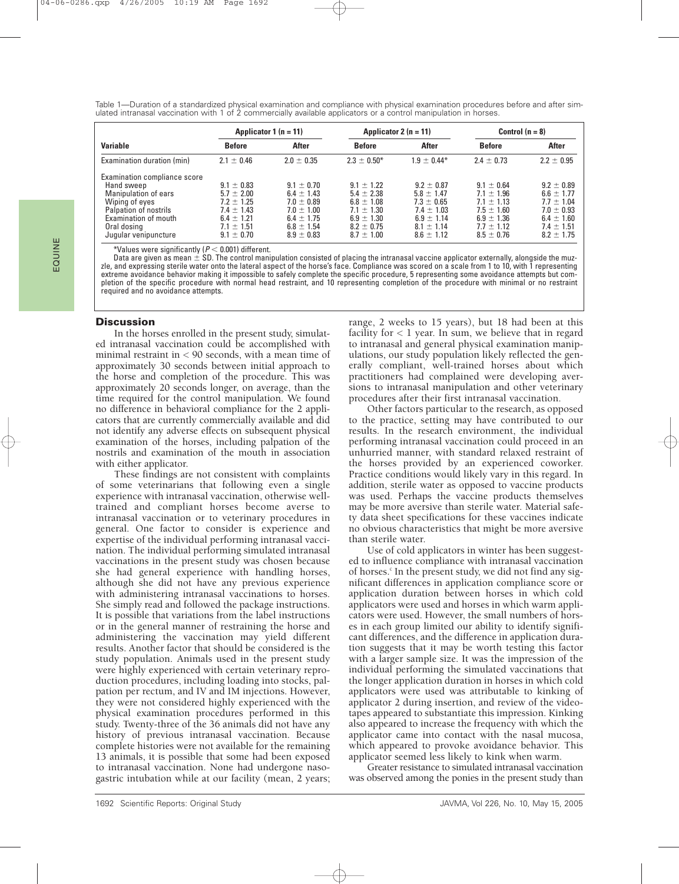Table 1—Duration of a standardized physical examination and compliance with physical examination procedures before and after simulated intranasal vaccination with 1 of 2 commercially available applicators or a control manipulation in horses.

|                              | Applicator 1 $(n = 11)$ |                | Applicator 2 $(n = 11)$ |                | Control $(n = 8)$ |                |
|------------------------------|-------------------------|----------------|-------------------------|----------------|-------------------|----------------|
| <b>Variable</b>              | <b>Before</b>           | After          | <b>Before</b>           | After          | <b>Before</b>     | After          |
| Examination duration (min)   | $2.1 \pm 0.46$          | $2.0 \pm 0.35$ | $2.3 \pm 0.50^*$        | $1.9 + 0.44*$  | $2.4 \pm 0.73$    | $2.2 \pm 0.95$ |
| Examination compliance score |                         |                |                         |                |                   |                |
| Hand sweep                   | $9.1 \pm 0.83$          | $9.1 \pm 0.70$ | $9.1 + 1.22$            | $9.2 + 0.87$   | $9.1 \pm 0.64$    | $9.2 \pm 0.89$ |
| Manipulation of ears         | $5.7 \pm 2.00$          | $6.4 \pm 1.43$ | $5.4 \pm 2.38$          | $5.8 \pm 1.47$ | $7.1 + 1.96$      | $6.6 \pm 1.77$ |
| Wiping of eyes               | $7.2 \pm 1.25$          | $7.0 \pm 0.89$ | $6.8 \pm 1.08$          | $7.3 \pm 0.65$ | $7.1 \pm 1.13$    | $7.7 \pm 1.04$ |
| Palpation of nostrils        | $7.4 \pm 1.43$          | $7.0 \pm 1.00$ | $7.1 + 1.30$            | $7.4 + 1.03$   | $7.5 + 1.60$      | $7.0 + 0.93$   |
| Examination of mouth         | $6.4 \pm 1.21$          | $6.4 \pm 1.75$ | $6.9 \pm 1.30$          | $6.9 \pm 1.14$ | $6.9 \pm 1.36$    | $6.4 \pm 1.60$ |
| Oral dosing                  | $7.1 \pm 1.51$          | $6.8 \pm 1.54$ | $8.2 \pm 0.75$          | $8.1 + 1.14$   | $7.7 + 1.12$      | $7.4 + 1.51$   |
| Jugular venipuncture         | $9.1 \pm 0.70$          | $8.9 \pm 0.83$ | $8.7 \pm 1.00$          | $8.6 \pm 1.12$ | $8.5 \pm 0.76$    | $8.2 \pm 1.75$ |

 $^*$ Values were significantly ( $P$   $<$  0.001) different.

Data are given as mean  $\pm$  SD. The control manipulation consisted of placing the intranasal vaccine applicator externally, alongside the muzzle, and expressing sterile water onto the lateral aspect of the horse's face. Compliance was scored on a scale from 1 to 10, with 1 representing extreme avoidance behavior making it impossible to safely complete the specific procedure, 5 representing some avoidance attempts but completion of the specific procedure with normal head restraint, and 10 representing completion of the procedure with minimal or no restraint required and no avoidance attempts.

## **Discussion**

In the horses enrolled in the present study, simulated intranasal vaccination could be accomplished with minimal restraint in < 90 seconds, with a mean time of approximately 30 seconds between initial approach to the horse and completion of the procedure. This was approximately 20 seconds longer, on average, than the time required for the control manipulation. We found no difference in behavioral compliance for the 2 applicators that are currently commercially available and did not identify any adverse effects on subsequent physical examination of the horses, including palpation of the nostrils and examination of the mouth in association with either applicator.

These findings are not consistent with complaints of some veterinarians that following even a single experience with intranasal vaccination, otherwise welltrained and compliant horses become averse to intranasal vaccination or to veterinary procedures in general. One factor to consider is experience and expertise of the individual performing intranasal vaccination. The individual performing simulated intranasal vaccinations in the present study was chosen because she had general experience with handling horses, although she did not have any previous experience with administering intranasal vaccinations to horses. She simply read and followed the package instructions. It is possible that variations from the label instructions or in the general manner of restraining the horse and administering the vaccination may yield different results. Another factor that should be considered is the study population. Animals used in the present study were highly experienced with certain veterinary reproduction procedures, including loading into stocks, palpation per rectum, and IV and IM injections. However, they were not considered highly experienced with the physical examination procedures performed in this study. Twenty-three of the 36 animals did not have any history of previous intranasal vaccination. Because complete histories were not available for the remaining 13 animals, it is possible that some had been exposed to intranasal vaccination. None had undergone nasogastric intubation while at our facility (mean, 2 years; range, 2 weeks to 15 years), but 18 had been at this facility for  $< 1$  year. In sum, we believe that in regard to intranasal and general physical examination manipulations, our study population likely reflected the generally compliant, well-trained horses about which practitioners had complained were developing aversions to intranasal manipulation and other veterinary procedures after their first intranasal vaccination.

Other factors particular to the research, as opposed to the practice, setting may have contributed to our results. In the research environment, the individual performing intranasal vaccination could proceed in an unhurried manner, with standard relaxed restraint of the horses provided by an experienced coworker. Practice conditions would likely vary in this regard. In addition, sterile water as opposed to vaccine products was used. Perhaps the vaccine products themselves may be more aversive than sterile water. Material safety data sheet specifications for these vaccines indicate no obvious characteristics that might be more aversive than sterile water.

Use of cold applicators in winter has been suggested to influence compliance with intranasal vaccination of horses.<sup>c</sup> In the present study, we did not find any significant differences in application compliance score or application duration between horses in which cold applicators were used and horses in which warm applicators were used. However, the small numbers of horses in each group limited our ability to identify significant differences, and the difference in application duration suggests that it may be worth testing this factor with a larger sample size. It was the impression of the individual performing the simulated vaccinations that the longer application duration in horses in which cold applicators were used was attributable to kinking of applicator 2 during insertion, and review of the videotapes appeared to substantiate this impression. Kinking also appeared to increase the frequency with which the applicator came into contact with the nasal mucosa, which appeared to provoke avoidance behavior. This applicator seemed less likely to kink when warm.

Greater resistance to simulated intranasal vaccination was observed among the ponies in the present study than